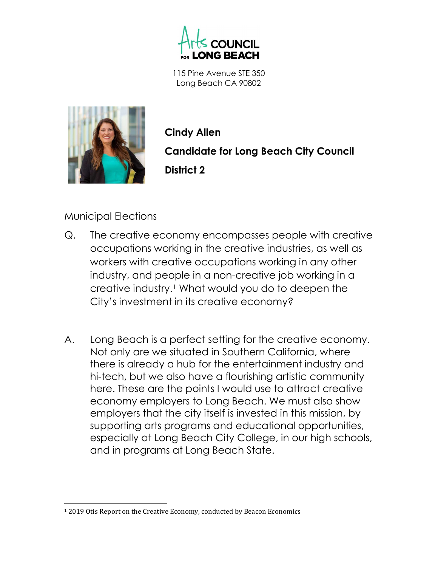

115 Pine Avenue STE 350 Long Beach CA 90802



Cindy Allen Candidate for Long Beach City Council District 2

## Municipal Elections

- Q. The creative economy encompasses people with creative occupations working in the creative industries, as well as workers with creative occupations working in any other industry, and people in a non-creative job working in a creative industry.1 What would you do to deepen the City's investment in its creative economy?
- A. Long Beach is a perfect setting for the creative economy. Not only are we situated in Southern California, where there is already a hub for the entertainment industry and hi-tech, but we also have a flourishing artistic community here. These are the points I would use to attract creative economy employers to Long Beach. We must also show employers that the city itself is invested in this mission, by supporting arts programs and educational opportunities, especially at Long Beach City College, in our high schools, and in programs at Long Beach State.

<sup>&</sup>lt;sup>1</sup> 2019 Otis Report on the Creative Economy, conducted by Beacon Economics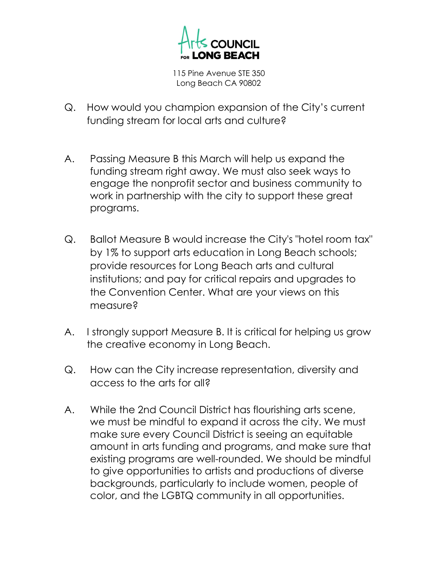

115 Pine Avenue STE 350 Long Beach CA 90802

- Q. How would you champion expansion of the City's current funding stream for local arts and culture?
- A. Passing Measure B this March will help us expand the funding stream right away. We must also seek ways to engage the nonprofit sector and business community to work in partnership with the city to support these great programs.
- Q. Ballot Measure B would increase the City's "hotel room tax" by 1% to support arts education in Long Beach schools; provide resources for Long Beach arts and cultural institutions; and pay for critical repairs and upgrades to the Convention Center. What are your views on this measure?
- A. I strongly support Measure B. It is critical for helping us grow the creative economy in Long Beach.
- Q. How can the City increase representation, diversity and access to the arts for all?
- A. While the 2nd Council District has flourishing arts scene, we must be mindful to expand it across the city. We must make sure every Council District is seeing an equitable amount in arts funding and programs, and make sure that existing programs are well-rounded. We should be mindful to give opportunities to artists and productions of diverse backgrounds, particularly to include women, people of color, and the LGBTQ community in all opportunities.